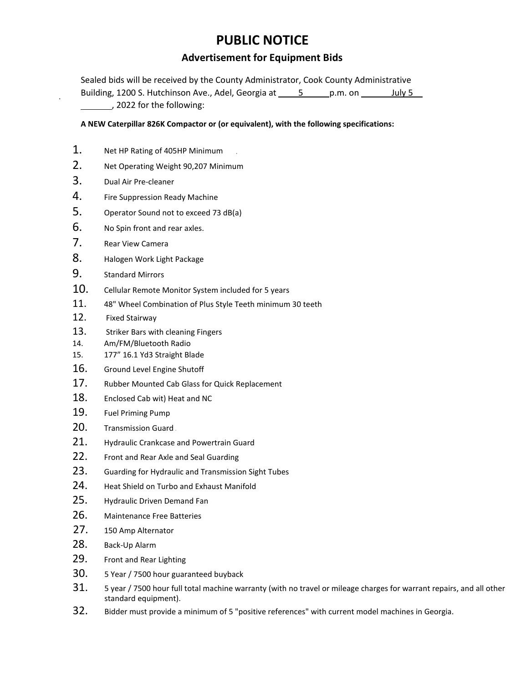### **PUBLIC NOTICE**

#### **Advertisement for Equipment Bids**

Sealed bids will be received by the County Administrator, Cook County Administrative Building, 1200 S. Hutchinson Ave., Adel, Georgia at 5 p.m. on July 5 , 2022 for the following:

#### **A NEW Caterpillar 826K Compactor or (or equivalent), with the following specifications:**

- 1. Net HP Rating of 405HP Minimum
- 2. Net Operating Weight 90,207 Minimum
- 3. Dual Air Pre-cleaner
- 4. Fire Suppression Ready Machine
- 5. Operator Sound not to exceed 73 dB(a)
- 6. No Spin front and rear axles.
- 7. Rear View Camera
- 8. Halogen Work Light Package
- 9. Standard Mirrors
- 10. Cellular Remote Monitor System included for 5 years
- 11. 48" Wheel Combination of Plus Style Teeth minimum 30 teeth
- 12. Fixed Stairway
- 13. Striker Bars with cleaning Fingers
- 14. Am/FM/Bluetooth Radio
- 15. 177" 16.1 Yd3 Straight Blade
- 16. Ground Level Engine Shutoff
- 17. Rubber Mounted Cab Glass for Quick Replacement
- 18. Enclosed Cab wit) Heat and NC
- 19. Fuel Priming Pump
- 20. Transmission Guard
- 21. Hydraulic Crankcase and Powertrain Guard
- 22. Front and Rear Axle and Seal Guarding
- 23. Guarding for Hydraulic and Transmission Sight Tubes
- 24. Heat Shield on Turbo and Exhaust Manifold
- 25. Hydraulic Driven Demand Fan
- 26. Maintenance Free Batteries
- 27. 150 Amp Alternator
- 28. Back-Up Alarm
- 29. Front and Rear Lighting
- 30. 5 Year / 7500 hour guaranteed buyback
- 31. 5 year / 7500 hour full total machine warranty (with no travel or mileage charges for warrant repairs, and all other standard equipment).
- 32. Bidder must provide a minimum of 5 "positive references" with current model machines in Georgia.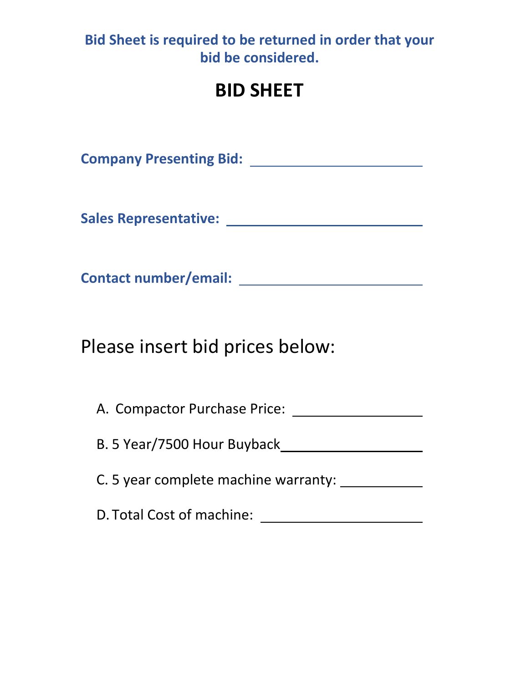## **Bid Sheet is required to be returned in order that your bid be considered.**

# **BID SHEET**

**Company Presenting Bid:** 

**Sales Representative:** 

**Contact number/email:** 

Please insert bid prices below:

A. Compactor Purchase Price:

B. 5 Year/7500 Hour Buyback

C. 5 year complete machine warranty:

D. Total Cost of machine: